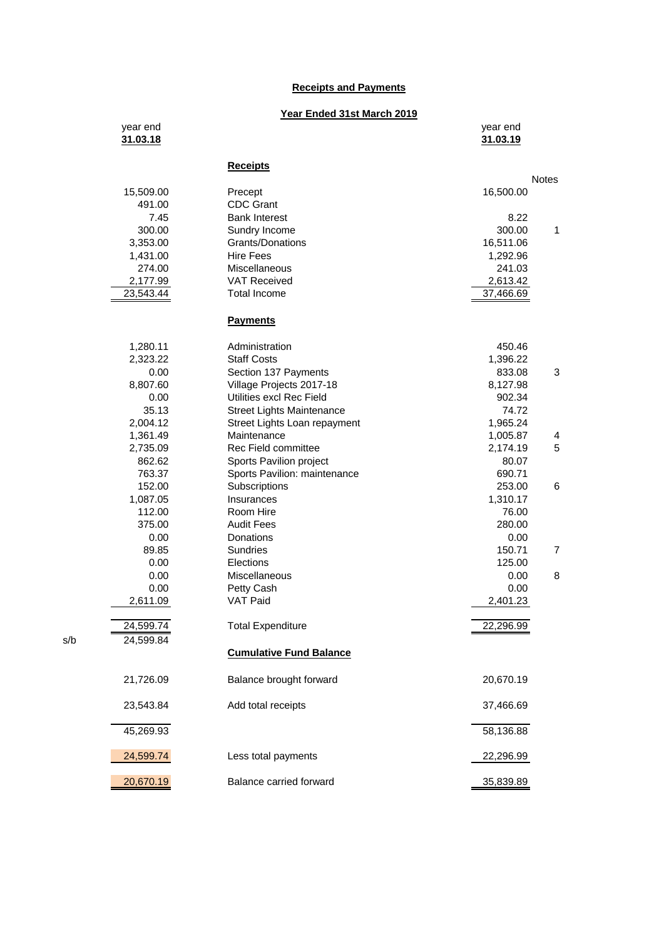## **Receipts and Payments**

## **Year Ended 31st March 2019**

| year end<br>31.03.18 |                                | year end<br>31.03.19 |
|----------------------|--------------------------------|----------------------|
|                      | <b>Receipts</b>                | <b>Notes</b>         |
| 15,509.00            | Precept                        | 16,500.00            |
| 491.00               | <b>CDC Grant</b>               |                      |
| 7.45                 | <b>Bank Interest</b>           | 8.22                 |
| 300.00               | Sundry Income                  | 1<br>300.00          |
| 3,353.00             | Grants/Donations               | 16,511.06            |
| 1,431.00             | <b>Hire Fees</b>               | 1,292.96             |
| 274.00               | Miscellaneous                  | 241.03               |
| 2,177.99             | <b>VAT Received</b>            | 2,613.42             |
| 23,543.44            | <b>Total Income</b>            | 37,466.69            |
|                      | <b>Payments</b>                |                      |
| 1,280.11             | Administration                 | 450.46               |
| 2,323.22             | <b>Staff Costs</b>             | 1,396.22             |
| 0.00                 | Section 137 Payments           | 833.08<br>3          |
| 8,807.60             | Village Projects 2017-18       | 8,127.98             |
| 0.00                 | Utilities excl Rec Field       | 902.34               |
| 35.13                | Street Lights Maintenance      | 74.72                |
| 2,004.12             | Street Lights Loan repayment   | 1,965.24             |
| 1,361.49             | Maintenance                    | 1,005.87<br>4        |
| 2,735.09             | Rec Field committee            | 5<br>2,174.19        |
| 862.62               | Sports Pavilion project        | 80.07                |
| 763.37               | Sports Pavilion: maintenance   | 690.71               |
| 152.00               | Subscriptions                  | 253.00<br>6          |
| 1,087.05             | Insurances                     | 1,310.17             |
| 112.00               | Room Hire<br><b>Audit Fees</b> | 76.00                |
| 375.00<br>0.00       | Donations                      | 280.00               |
| 89.85                | Sundries                       | 0.00<br>150.71<br>7  |
| 0.00                 | Elections                      | 125.00               |
| 0.00                 | Miscellaneous                  | 8<br>0.00            |
| 0.00                 | Petty Cash                     | 0.00                 |
| 2,611.09             | <b>VAT Paid</b>                | 2,401.23             |
| 24,599.74            | <b>Total Expenditure</b>       | 22,296.99            |
| 24,599.84            |                                |                      |
|                      | <b>Cumulative Fund Balance</b> |                      |
| 21,726.09            | Balance brought forward        | 20,670.19            |
| 23,543.84            | Add total receipts             | 37,466.69            |
| 45,269.93            |                                | 58,136.88            |
| 24,599.74            | Less total payments            | 22,296.99            |
| 20,670.19            | Balance carried forward        | 35,839.89            |